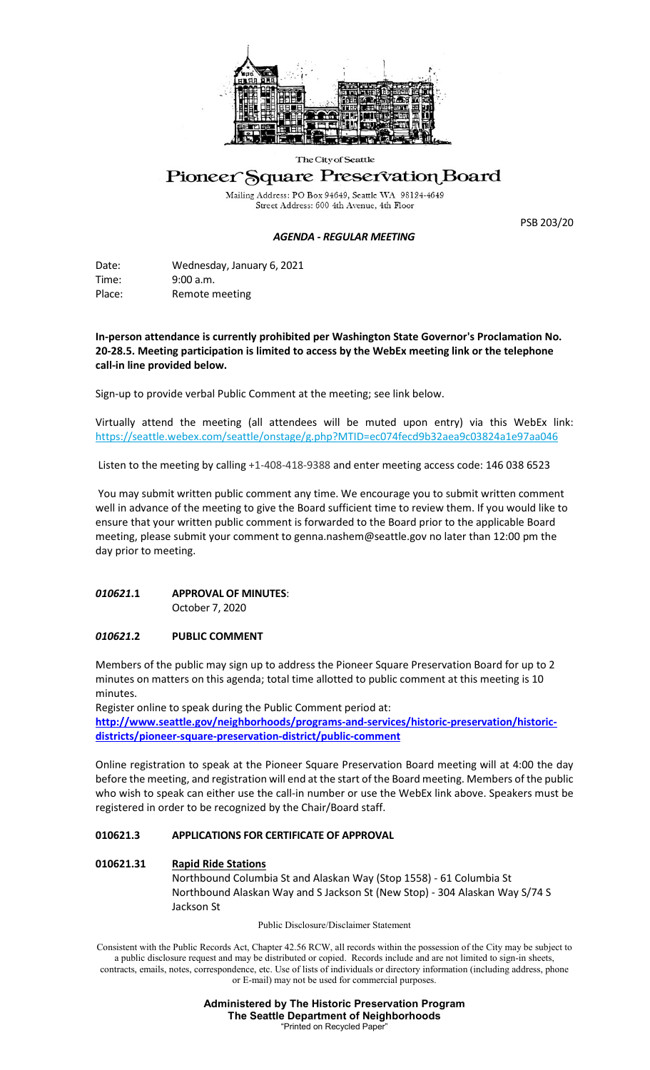

#### The City of Seattle

# Pioneer Square Preservation Board

Mailing Address: PO Box 94649, Seattle WA 98124-4649<br>Street Address: 600 4th Avenue, 4th Floor

#### *AGENDA - REGULAR MEETING*

PSB 203/20

Date: Wednesday, January 6, 2021 Time: 9:00 a.m. Place: Remote meeting

**In-person attendance is currently prohibited per Washington State Governor's Proclamation No. 20-28.5. Meeting participation is limited to access by the WebEx meeting link or the telephone call-in line provided below.** 

Sign-up to provide verbal Public Comment at the meeting; see link below.

Virtually attend the meeting (all attendees will be muted upon entry) via this WebEx link: <https://seattle.webex.com/seattle/onstage/g.php?MTID=ec074fecd9b32aea9c03824a1e97aa046>

Listen to the meeting by calling +1-408-418-9388 and enter meeting access code: 146 038 6523

You may submit written public comment any time. We encourage you to submit written comment well in advance of the meeting to give the Board sufficient time to review them. If you would like to ensure that your written public comment is forwarded to the Board prior to the applicable Board meeting, please submit your comment to genna.nashem@seattle.gov no later than 12:00 pm the day prior to meeting.

# *010621***.1 APPROVAL OF MINUTES**:

October 7, 2020

## *010621***.2 PUBLIC COMMENT**

Members of the public may sign up to address the Pioneer Square Preservation Board for up to 2 minutes on matters on this agenda; total time allotted to public comment at this meeting is 10 minutes.

Register online to speak during the Public Comment period at:

**[http://www.seattle.gov/neighborhoods/programs-and-services/historic-preservation/historic](http://www.seattle.gov/neighborhoods/programs-and-services/historic-preservation/historic-districts/pioneer-square-preservation-district/public-comment)[districts/pioneer-square-preservation-district/public-comment](http://www.seattle.gov/neighborhoods/programs-and-services/historic-preservation/historic-districts/pioneer-square-preservation-district/public-comment)**

Online registration to speak at the Pioneer Square Preservation Board meeting will at 4:00 the day before the meeting, and registration will end at the start of the Board meeting. Members of the public who wish to speak can either use the call-in number or use the WebEx link above. Speakers must be registered in order to be recognized by the Chair/Board staff.

### **010621.3 APPLICATIONS FOR CERTIFICATE OF APPROVAL**

### **010621.31 Rapid Ride Stations**

Northbound Columbia St and Alaskan Way (Stop 1558) - 61 Columbia St Northbound Alaskan Way and S Jackson St (New Stop) - 304 Alaskan Way S/74 S Jackson St

Public Disclosure/Disclaimer Statement

Consistent with the Public Records Act, Chapter 42.56 RCW, all records within the possession of the City may be subject to a public disclosure request and may be distributed or copied. Records include and are not limited to sign-in sheets, contracts, emails, notes, correspondence, etc. Use of lists of individuals or directory information (including address, phone or E-mail) may not be used for commercial purposes.

> **Administered by The Historic Preservation Program The Seattle Department of Neighborhoods** "Printed on Recycled Paper"